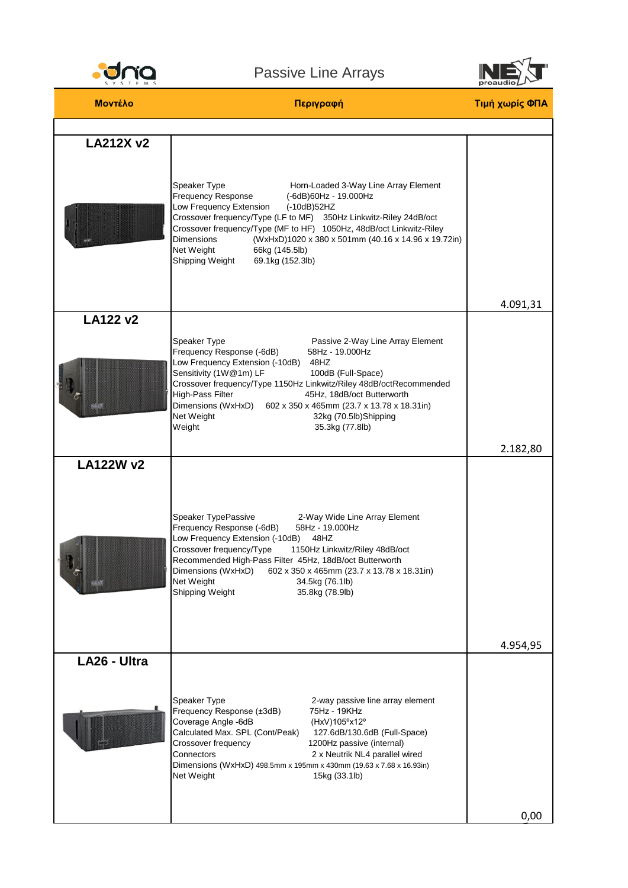

## Passive Line Arrays



| Μοντέλο          | Περιγραφή                                                                                                                                                                                                                                                                                                                                                                                                                                                   | Τιμή χωρίς ΦΠΑ |
|------------------|-------------------------------------------------------------------------------------------------------------------------------------------------------------------------------------------------------------------------------------------------------------------------------------------------------------------------------------------------------------------------------------------------------------------------------------------------------------|----------------|
|                  |                                                                                                                                                                                                                                                                                                                                                                                                                                                             |                |
| <b>LA212X v2</b> | Speaker Type<br>Horn-Loaded 3-Way Line Array Element<br>Frequency Response<br>(-6dB)60Hz - 19.000Hz<br>Low Frequency Extension<br>(-10dB)52HZ<br>Crossover frequency/Type (LF to MF) 350Hz Linkwitz-Riley 24dB/oct<br>Crossover frequency/Type (MF to HF) 1050Hz, 48dB/oct Linkwitz-Riley<br><b>Dimensions</b><br>(WxHxD)1020 x 380 x 501mm (40.16 x 14.96 x 19.72in)<br>Net Weight<br>66kg (145.5lb)<br>Shipping Weight<br>69.1kg (152.3lb)                | 4.091,31       |
| <b>LA122 v2</b>  |                                                                                                                                                                                                                                                                                                                                                                                                                                                             |                |
|                  | Speaker Type<br>Passive 2-Way Line Array Element<br>Frequency Response (-6dB)<br>58Hz - 19.000Hz<br>Low Frequency Extension (-10dB)<br>48HZ<br>Sensitivity (1W@1m) LF<br>100dB (Full-Space)<br>Crossover frequency/Type 1150Hz Linkwitz/Riley 48dB/octRecommended<br>High-Pass Filter<br>45Hz, 18dB/oct Butterworth<br>Dimensions (WxHxD)<br>602 x 350 x 465mm (23.7 x 13.78 x 18.31in)<br>Net Weight<br>32kg (70.5lb)Shipping<br>Weight<br>35.3kg (77.8lb) |                |
|                  |                                                                                                                                                                                                                                                                                                                                                                                                                                                             | 2.182,80       |
| <b>LA122W v2</b> | Speaker TypePassive<br>2-Way Wide Line Array Element<br>Frequency Response (-6dB)<br>58Hz - 19.000Hz<br>Low Frequency Extension (-10dB)<br>48HZ<br>Crossover frequency/Type<br>1150Hz Linkwitz/Riley 48dB/oct<br>Recommended High-Pass Filter 45Hz, 18dB/oct Butterworth<br>Dimensions (WxHxD)<br>602 x 350 x 465mm (23.7 x 13.78 x 18.31in)<br>Net Weight<br>34.5kg (76.1lb)<br>Shipping Weight<br>35.8kg (78.9lb)                                         | 4.954,95       |
| LA26 - Ultra     |                                                                                                                                                                                                                                                                                                                                                                                                                                                             |                |
|                  | Speaker Type<br>2-way passive line array element<br>Frequency Response (±3dB)<br>75Hz - 19KHz<br>Coverage Angle -6dB<br>(HxV)105°x12°<br>Calculated Max. SPL (Cont/Peak)<br>127.6dB/130.6dB (Full-Space)<br>Crossover frequency<br>1200Hz passive (internal)<br>Connectors<br>2 x Neutrik NL4 parallel wired<br>Dimensions (WxHxD) 498.5mm x 195mm x 430mm (19.63 x 7.68 x 16.93in)<br>Net Weight<br>15kg (33.1lb)                                          |                |
|                  |                                                                                                                                                                                                                                                                                                                                                                                                                                                             | 0,00           |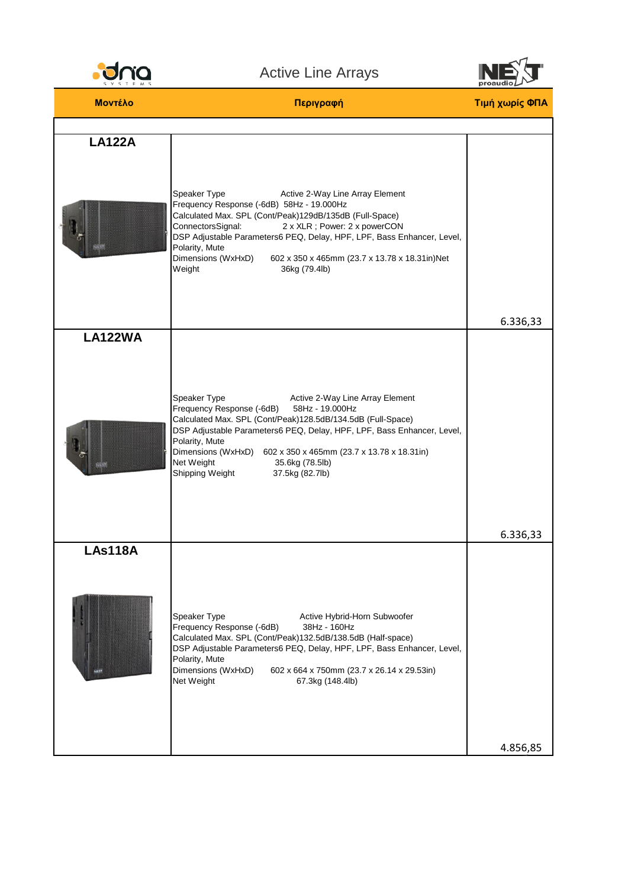

## Active Line Arrays



| Μοντέλο        | Περιγραφή                                                                                                                                                                                                                                                                                                                                                                                                   | Τιμή χωρίς ΦΠΑ |
|----------------|-------------------------------------------------------------------------------------------------------------------------------------------------------------------------------------------------------------------------------------------------------------------------------------------------------------------------------------------------------------------------------------------------------------|----------------|
|                |                                                                                                                                                                                                                                                                                                                                                                                                             |                |
| <b>LA122A</b>  | Speaker Type<br>Active 2-Way Line Array Element<br>Frequency Response (-6dB) 58Hz - 19.000Hz<br>Calculated Max. SPL (Cont/Peak)129dB/135dB (Full-Space)<br>ConnectorsSignal:<br>2 x XLR ; Power: 2 x powerCON<br>DSP Adjustable Parameters6 PEQ, Delay, HPF, LPF, Bass Enhancer, Level,<br>Polarity, Mute<br>Dimensions (WxHxD)<br>602 x 350 x 465mm (23.7 x 13.78 x 18.31in)Net<br>Weight<br>36kg (79.4lb) | 6.336,33       |
| <b>LA122WA</b> |                                                                                                                                                                                                                                                                                                                                                                                                             |                |
|                | Speaker Type<br>Active 2-Way Line Array Element<br>Frequency Response (-6dB)<br>58Hz - 19.000Hz<br>Calculated Max. SPL (Cont/Peak)128.5dB/134.5dB (Full-Space)<br>DSP Adjustable Parameters6 PEQ, Delay, HPF, LPF, Bass Enhancer, Level,<br>Polarity, Mute<br>Dimensions (WxHxD) 602 x 350 x 465mm (23.7 x 13.78 x 18.31in)<br>Net Weight<br>35.6kg (78.5lb)<br>Shipping Weight<br>37.5kg (82.7lb)          | 6.336,33       |
| <b>LAs118A</b> |                                                                                                                                                                                                                                                                                                                                                                                                             |                |
|                | Speaker Type<br>Active Hybrid-Horn Subwoofer<br>Frequency Response (-6dB)<br>38Hz - 160Hz<br>Calculated Max. SPL (Cont/Peak)132.5dB/138.5dB (Half-space)<br>DSP Adjustable Parameters6 PEQ, Delay, HPF, LPF, Bass Enhancer, Level,<br>Polarity, Mute<br>Dimensions (WxHxD)<br>602 x 664 x 750mm (23.7 x 26.14 x 29.53in)<br>Net Weight<br>67.3kg (148.4lb)                                                  |                |
|                |                                                                                                                                                                                                                                                                                                                                                                                                             | 4.856,85       |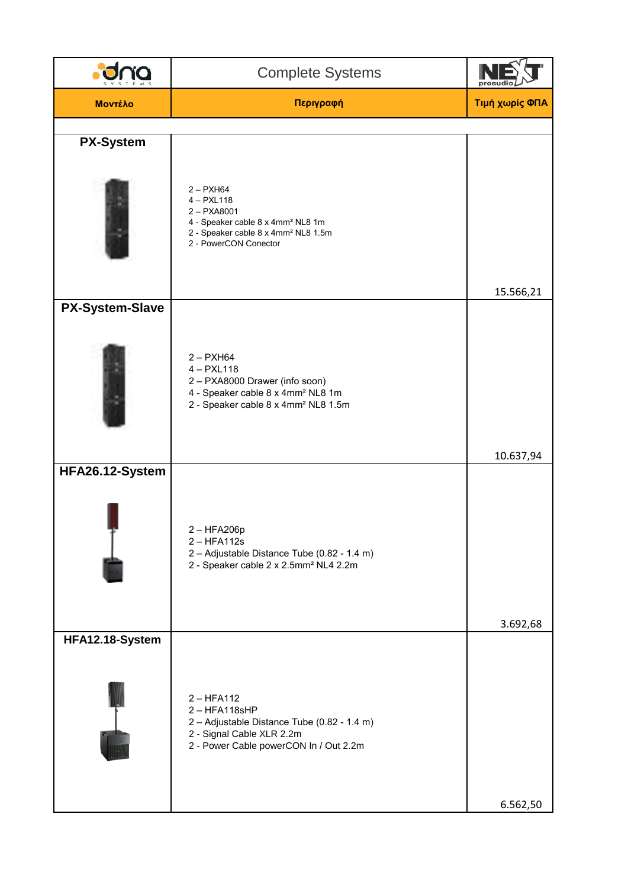|                        | <b>Complete Systems</b>                                                                                                                                                     |                |
|------------------------|-----------------------------------------------------------------------------------------------------------------------------------------------------------------------------|----------------|
| Μοντέλο                | Περιγραφή                                                                                                                                                                   | Τιμή χωρίς ΦΠΑ |
|                        |                                                                                                                                                                             |                |
| <b>PX-System</b>       | $2 - P X H64$<br>$4 - PXL118$<br>$2 - PXA8001$<br>4 - Speaker cable 8 x 4mm <sup>2</sup> NL8 1m<br>2 - Speaker cable 8 x 4mm <sup>2</sup> NL8 1.5m<br>2 - PowerCON Conector | 15.566,21      |
| <b>PX-System-Slave</b> | $2 - P X H64$<br>$4 - PXL118$<br>2 - PXA8000 Drawer (info soon)<br>4 - Speaker cable 8 x 4mm <sup>2</sup> NL8 1m<br>2 - Speaker cable 8 x 4mm <sup>2</sup> NL8 1.5m         | 10.637,94      |
| HFA26.12-System        | $2 - HFA206p$<br>$2 - HFA112s$<br>2 - Adjustable Distance Tube (0.82 - 1.4 m)<br>2 - Speaker cable 2 x 2.5mm <sup>2</sup> NL4 2.2m                                          | 3.692,68       |
| HFA12.18-System        | $2 - HFA112$<br>$2 - HFA118sHP$<br>2 - Adjustable Distance Tube (0.82 - 1.4 m)<br>2 - Signal Cable XLR 2.2m<br>2 - Power Cable powerCON In / Out 2.2m                       | 6.562,50       |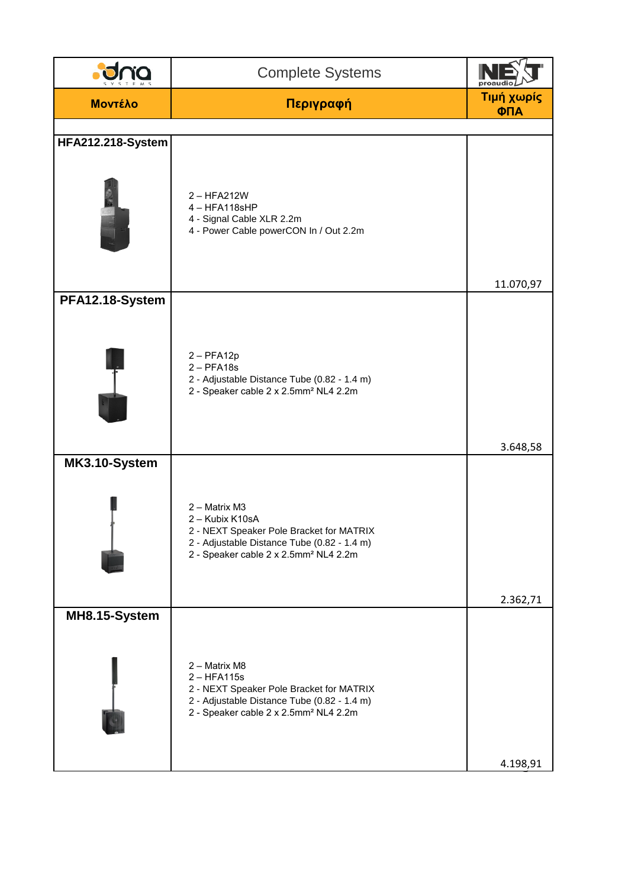|                   | <b>Complete Systems</b>                                                                                                                                                          | proaudi           |
|-------------------|----------------------------------------------------------------------------------------------------------------------------------------------------------------------------------|-------------------|
| <b>MOVTÉλΟ</b>    | Περιγραφή                                                                                                                                                                        | Τιμή χωρίς<br>ФПА |
|                   |                                                                                                                                                                                  |                   |
| HFA212.218-System | $2 - HFA212W$<br>4-HFA118sHP<br>4 - Signal Cable XLR 2.2m<br>4 - Power Cable powerCON In / Out 2.2m                                                                              | 11.070,97         |
| PFA12.18-System   | $2 - PFA12p$<br>$2 - PFA18s$<br>2 - Adjustable Distance Tube (0.82 - 1.4 m)<br>2 - Speaker cable 2 x 2.5mm <sup>2</sup> NL4 2.2m                                                 | 3.648,58          |
| MK3.10-System     | 2 - Matrix M3<br>2 - Kubix K10sA<br>2 - NEXT Speaker Pole Bracket for MATRIX<br>2 - Adjustable Distance Tube (0.82 - 1.4 m)<br>2 - Speaker cable 2 x 2.5mm <sup>2</sup> NL4 2.2m | 2.362,71          |
| MH8.15-System     | 2 - Matrix M8<br>$2 - HFA115s$<br>2 - NEXT Speaker Pole Bracket for MATRIX<br>2 - Adjustable Distance Tube (0.82 - 1.4 m)<br>2 - Speaker cable 2 x 2.5mm <sup>2</sup> NL4 2.2m   | 4.198,91          |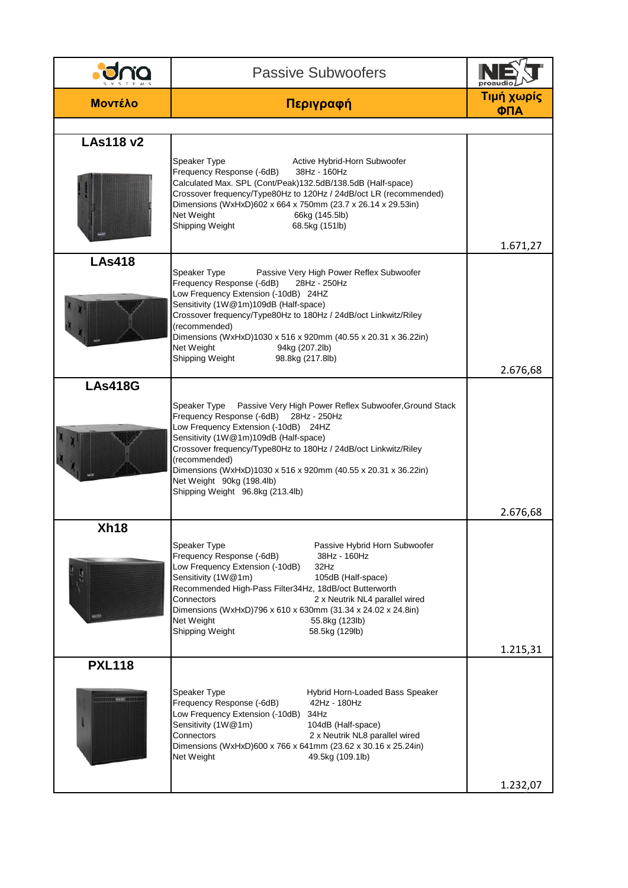|                        | <b>Passive Subwoofers</b>                                                                                                                                                                                                                                                                                                                                                                                                         | proau             |
|------------------------|-----------------------------------------------------------------------------------------------------------------------------------------------------------------------------------------------------------------------------------------------------------------------------------------------------------------------------------------------------------------------------------------------------------------------------------|-------------------|
| <b>Μοντέλο</b>         | Περιγραφή                                                                                                                                                                                                                                                                                                                                                                                                                         | Τιμή χωρίς<br>ФПА |
|                        |                                                                                                                                                                                                                                                                                                                                                                                                                                   |                   |
| <b>LAs118 v2</b>       | Speaker Type<br>Active Hybrid-Horn Subwoofer<br>Frequency Response (-6dB)<br>38Hz - 160Hz<br>Calculated Max. SPL (Cont/Peak)132.5dB/138.5dB (Half-space)<br>Crossover frequency/Type80Hz to 120Hz / 24dB/oct LR (recommended)<br>Dimensions (WxHxD)602 x 664 x 750mm (23.7 x 26.14 x 29.53in)<br>Net Weight<br>66kg (145.5lb)<br>Shipping Weight<br>68.5kg (151lb)                                                                | 1.671,27          |
| <b>LAs418</b>          | Speaker Type<br>Passive Very High Power Reflex Subwoofer<br>Frequency Response (-6dB)<br>28Hz - 250Hz<br>Low Frequency Extension (-10dB) 24HZ<br>Sensitivity (1W@1m)109dB (Half-space)<br>Crossover frequency/Type80Hz to 180Hz / 24dB/oct Linkwitz/Riley<br>(recommended)<br>Dimensions (WxHxD)1030 x 516 x 920mm (40.55 x 20.31 x 36.22in)<br>Net Weight<br>94kg (207.2lb)<br>Shipping Weight<br>98.8kg (217.8lb)               | 2.676,68          |
| <b>LAs418G</b>         | Speaker Type<br>Passive Very High Power Reflex Subwoofer, Ground Stack<br>Frequency Response (-6dB)<br>28Hz - 250Hz<br>Low Frequency Extension (-10dB) 24HZ<br>Sensitivity (1W@1m)109dB (Half-space)<br>Crossover frequency/Type80Hz to 180Hz / 24dB/oct Linkwitz/Riley<br>(recommended)<br>Dimensions (WxHxD)1030 x 516 x 920mm (40.55 x 20.31 x 36.22in)<br>Net Weight 90kg (198.4lb)<br>Shipping Weight 96.8kg (213.4lb)       | 2.676,68          |
| Xh18                   | Speaker Type<br>Passive Hybrid Horn Subwoofer<br>Frequency Response (-6dB)<br>38Hz - 160Hz<br>Low Frequency Extension (-10dB)<br>32Hz<br>Sensitivity (1W@1m)<br>105dB (Half-space)<br>Recommended High-Pass Filter34Hz, 18dB/oct Butterworth<br>Connectors<br>2 x Neutrik NL4 parallel wired<br>Dimensions (WxHxD)796 x 610 x 630mm (31.34 x 24.02 x 24.8in)<br>Net Weight<br>55.8kg (123lb)<br>Shipping Weight<br>58.5kg (129lb) | 1.215,31          |
| <b>PXL118</b><br>NEXX! | Speaker Type<br>Hybrid Horn-Loaded Bass Speaker<br>Frequency Response (-6dB)<br>42Hz - 180Hz<br>Low Frequency Extension (-10dB)<br>34Hz<br>Sensitivity (1W@1m)<br>104dB (Half-space)<br>Connectors<br>2 x Neutrik NL8 parallel wired<br>Dimensions (WxHxD)600 x 766 x 641mm (23.62 x 30.16 x 25.24in)<br>Net Weight<br>49.5kg (109.1lb)                                                                                           | 1.232,07          |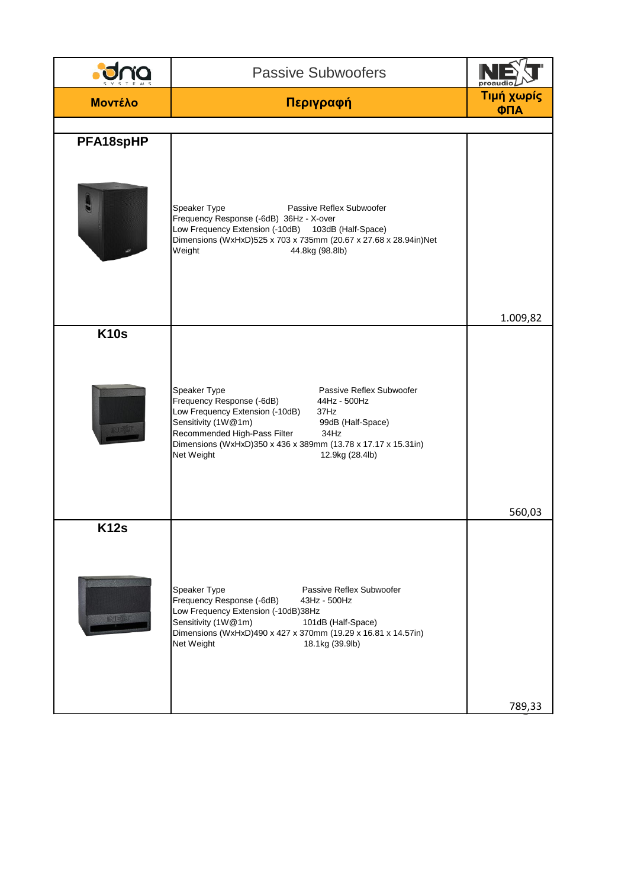|                              | <b>Passive Subwoofers</b>                                                                                                                                                                                                                                                                                              | proauc            |
|------------------------------|------------------------------------------------------------------------------------------------------------------------------------------------------------------------------------------------------------------------------------------------------------------------------------------------------------------------|-------------------|
| <b>MOVTÉλΟ</b>               | Περιγραφή                                                                                                                                                                                                                                                                                                              | Τιμή χωρίς<br>ФПА |
|                              |                                                                                                                                                                                                                                                                                                                        |                   |
| PFA18spHP                    |                                                                                                                                                                                                                                                                                                                        |                   |
|                              | Speaker Type<br>Passive Reflex Subwoofer<br>Frequency Response (-6dB) 36Hz - X-over<br>Low Frequency Extension (-10dB) 103dB (Half-Space)<br>Dimensions (WxHxD)525 x 703 x 735mm (20.67 x 27.68 x 28.94in)Net<br>Weight<br>44.8kg (98.8lb)                                                                             |                   |
|                              |                                                                                                                                                                                                                                                                                                                        | 1.009,82          |
| <b>K10s</b><br><b>INLEST</b> | Speaker Type<br>Passive Reflex Subwoofer<br>Frequency Response (-6dB)<br>44Hz - 500Hz<br>Low Frequency Extension (-10dB)<br>37Hz<br>Sensitivity (1W@1m)<br>99dB (Half-Space)<br>Recommended High-Pass Filter<br>34Hz<br>Dimensions (WxHxD)350 x 436 x 389mm (13.78 x 17.17 x 15.31in)<br>Net Weight<br>12.9kg (28.4lb) |                   |
|                              |                                                                                                                                                                                                                                                                                                                        | 560,03            |
| <b>K12s</b><br>改革机           | Speaker Type<br>Passive Reflex Subwoofer<br>Frequency Response (-6dB)<br>43Hz - 500Hz<br>Low Frequency Extension (-10dB)38Hz<br>Sensitivity (1W@1m)<br>101dB (Half-Space)<br>Dimensions (WxHxD)490 x 427 x 370mm (19.29 x 16.81 x 14.57in)<br>Net Weight<br>18.1kg (39.9lb)                                            |                   |
|                              |                                                                                                                                                                                                                                                                                                                        | 789,33            |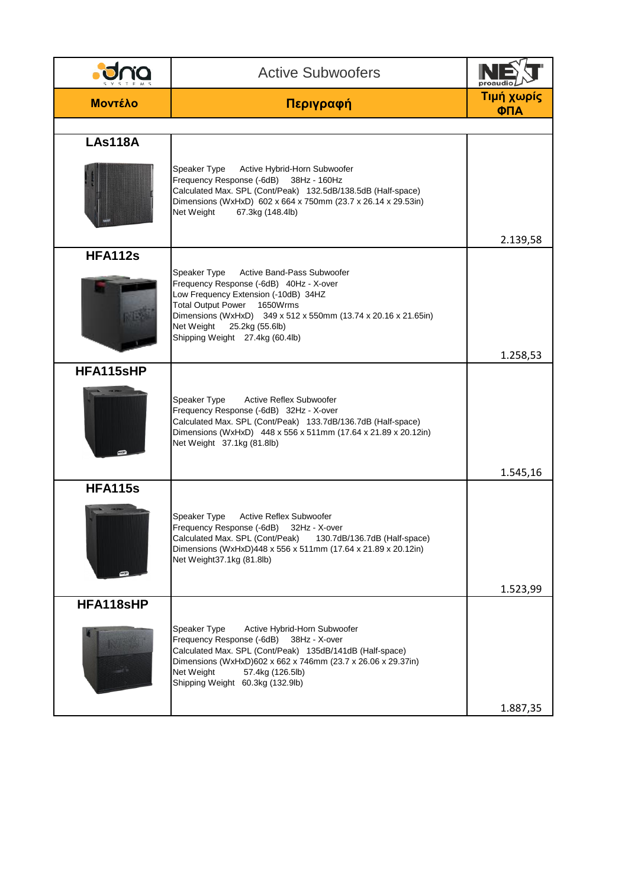|                | <b>Active Subwoofers</b>                                                                                                                                                                                                                                                                           | proaudi           |
|----------------|----------------------------------------------------------------------------------------------------------------------------------------------------------------------------------------------------------------------------------------------------------------------------------------------------|-------------------|
| <b>Μοντέλο</b> | Περιγραφή                                                                                                                                                                                                                                                                                          | Τιμή χωρίς<br>ФПА |
|                |                                                                                                                                                                                                                                                                                                    |                   |
| <b>LAs118A</b> | Speaker Type<br>Active Hybrid-Horn Subwoofer<br>Frequency Response (-6dB)<br>38Hz - 160Hz<br>Calculated Max. SPL (Cont/Peak) 132.5dB/138.5dB (Half-space)<br>Dimensions (WxHxD) 602 x 664 x 750mm (23.7 x 26.14 x 29.53in)<br>Net Weight<br>67.3kg (148.4lb)                                       |                   |
|                |                                                                                                                                                                                                                                                                                                    | 2.139,58          |
| <b>HFA112s</b> | Speaker Type<br>Active Band-Pass Subwoofer<br>Frequency Response (-6dB) 40Hz - X-over<br>Low Frequency Extension (-10dB) 34HZ<br>Total Output Power 1650Wrms<br>Dimensions (WxHxD) 349 x 512 x 550mm (13.74 x 20.16 x 21.65in)<br>Net Weight<br>25.2kg (55.6lb)<br>Shipping Weight 27.4kg (60.4lb) | 1.258,53          |
| HFA115sHP      |                                                                                                                                                                                                                                                                                                    |                   |
|                | <b>Active Reflex Subwoofer</b><br>Speaker Type<br>Frequency Response (-6dB) 32Hz - X-over<br>Calculated Max. SPL (Cont/Peak) 133.7dB/136.7dB (Half-space)<br>Dimensions (WxHxD) 448 x 556 x 511mm (17.64 x 21.89 x 20.12in)<br>Net Weight 37.1kg (81.8lb)                                          | 1.545,16          |
| <b>HFA115s</b> |                                                                                                                                                                                                                                                                                                    |                   |
|                | Speaker Type<br><b>Active Reflex Subwoofer</b><br>Frequency Response (-6dB) 32Hz - X-over<br>Calculated Max. SPL (Cont/Peak)<br>130.7dB/136.7dB (Half-space)<br>Dimensions (WxHxD)448 x 556 x 511mm (17.64 x 21.89 x 20.12in)<br>Net Weight37.1kg (81.8lb)                                         |                   |
|                |                                                                                                                                                                                                                                                                                                    | 1.523,99          |
| HFA118sHP      | Speaker Type<br>Active Hybrid-Horn Subwoofer<br>Frequency Response (-6dB)<br>38Hz - X-over<br>Calculated Max. SPL (Cont/Peak) 135dB/141dB (Half-space)<br>Dimensions (WxHxD)602 x 662 x 746mm (23.7 x 26.06 x 29.37in)<br>Net Weight<br>57.4kg (126.5lb)<br>Shipping Weight 60.3kg (132.9lb)       | 1.887,35          |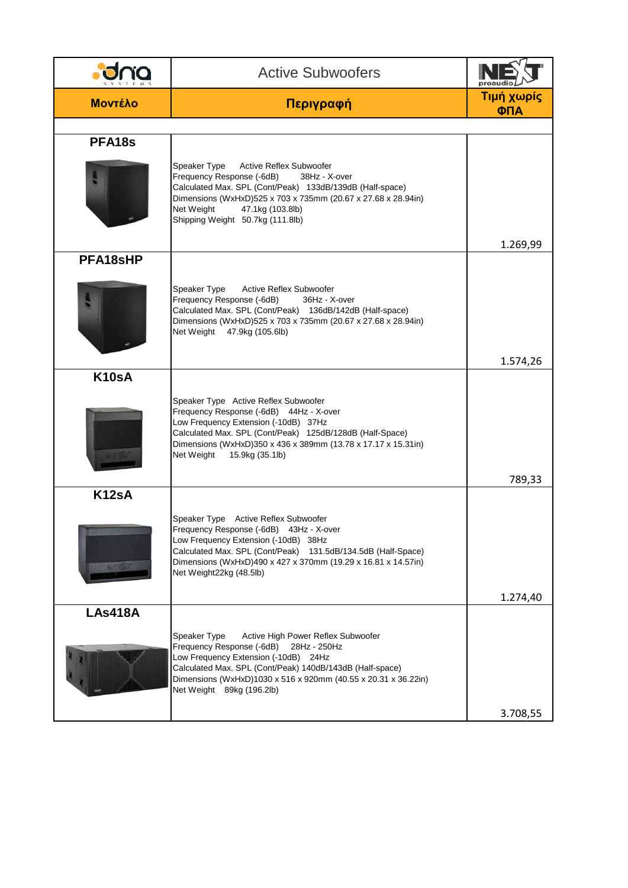|                             | <b>Active Subwoofers</b>                                                                                                                                                                                                                                                                           | proaud            |
|-----------------------------|----------------------------------------------------------------------------------------------------------------------------------------------------------------------------------------------------------------------------------------------------------------------------------------------------|-------------------|
| <b>Μοντέλο</b>              | Περιγραφή                                                                                                                                                                                                                                                                                          | Τιμή χωρίς<br>ΦΠΑ |
|                             |                                                                                                                                                                                                                                                                                                    |                   |
| PFA <sub>18s</sub>          | Speaker Type<br><b>Active Reflex Subwoofer</b><br>Frequency Response (-6dB)<br>38Hz - X-over<br>Calculated Max. SPL (Cont/Peak) 133dB/139dB (Half-space)<br>Dimensions (WxHxD)525 x 703 x 735mm (20.67 x 27.68 x 28.94in)<br>Net Weight<br>47.1kg (103.8lb)<br>Shipping Weight 50.7kg (111.8lb)    | 1.269,99          |
| PFA18sHP                    |                                                                                                                                                                                                                                                                                                    |                   |
|                             | Speaker Type<br><b>Active Reflex Subwoofer</b><br>Frequency Response (-6dB)<br>36Hz - X-over<br>Calculated Max. SPL (Cont/Peak) 136dB/142dB (Half-space)<br>Dimensions (WxHxD)525 x 703 x 735mm (20.67 x 27.68 x 28.94in)<br>Net Weight 47.9kg (105.6lb)                                           |                   |
|                             |                                                                                                                                                                                                                                                                                                    | 1.574,26          |
| K <sub>10s</sub> A<br>INESU | Speaker Type Active Reflex Subwoofer<br>Frequency Response (-6dB) 44Hz - X-over<br>Low Frequency Extension (-10dB) 37Hz<br>Calculated Max. SPL (Cont/Peak) 125dB/128dB (Half-Space)<br>Dimensions (WxHxD)350 x 436 x 389mm (13.78 x 17.17 x 15.31in)<br>Net Weight<br>15.9kg (35.1lb)              | 789,33            |
| K <sub>12s</sub> A          |                                                                                                                                                                                                                                                                                                    |                   |
| <b>ENTERED</b>              | Speaker Type Active Reflex Subwoofer<br>Frequency Response (-6dB) 43Hz - X-over<br>Low Frequency Extension (-10dB) 38Hz<br>Calculated Max. SPL (Cont/Peak) 131.5dB/134.5dB (Half-Space)<br>Dimensions (WxHxD)490 x 427 x 370mm (19.29 x 16.81 x 14.57in)<br>Net Weight22kg (48.5lb)                |                   |
|                             |                                                                                                                                                                                                                                                                                                    | 1.274,40          |
| <b>LAs418A</b>              | Speaker Type<br>Active High Power Reflex Subwoofer<br>Frequency Response (-6dB)<br>28Hz - 250Hz<br>Low Frequency Extension (-10dB) 24Hz<br>Calculated Max. SPL (Cont/Peak) 140dB/143dB (Half-space)<br>Dimensions (WxHxD)1030 x 516 x 920mm (40.55 x 20.31 x 36.22in)<br>Net Weight 89kg (196.2lb) | 3.708,55          |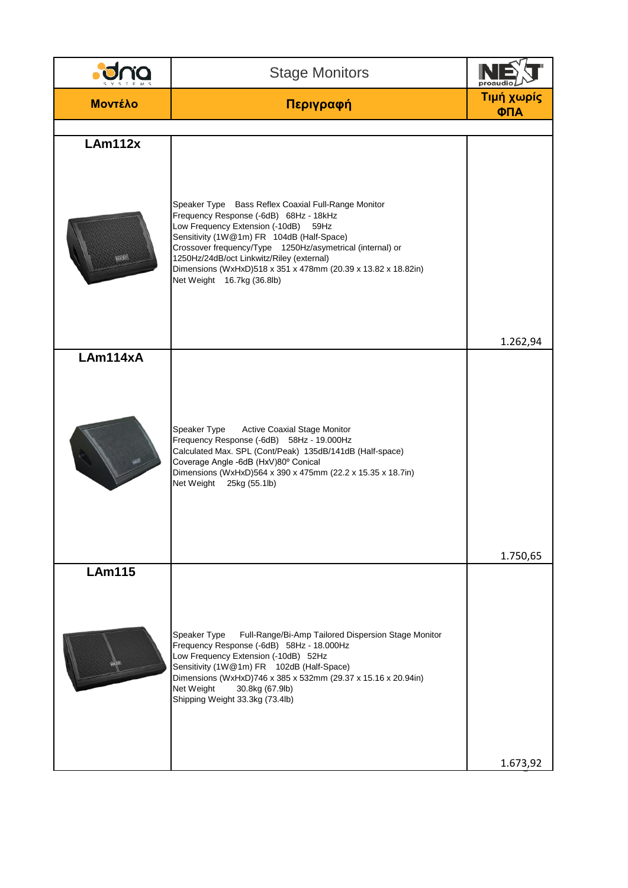|                | <b>Stage Monitors</b>                                                                                                                                                                                                                                                                                                                                                                       | proaud            |
|----------------|---------------------------------------------------------------------------------------------------------------------------------------------------------------------------------------------------------------------------------------------------------------------------------------------------------------------------------------------------------------------------------------------|-------------------|
| <b>MOVTÉλΟ</b> | Περιγραφή                                                                                                                                                                                                                                                                                                                                                                                   | Τιμή χωρίς<br>ΦΠΑ |
|                |                                                                                                                                                                                                                                                                                                                                                                                             |                   |
| LAm112x        |                                                                                                                                                                                                                                                                                                                                                                                             |                   |
| a Si           | Speaker Type Bass Reflex Coaxial Full-Range Monitor<br>Frequency Response (-6dB) 68Hz - 18kHz<br>Low Frequency Extension (-10dB) 59Hz<br>Sensitivity (1W@1m) FR 104dB (Half-Space)<br>Crossover frequency/Type 1250Hz/asymetrical (internal) or<br>1250Hz/24dB/oct Linkwitz/Riley (external)<br>Dimensions (WxHxD)518 x 351 x 478mm (20.39 x 13.82 x 18.82in)<br>Net Weight 16.7kg (36.8lb) | 1.262,94          |
| LAm114xA       |                                                                                                                                                                                                                                                                                                                                                                                             |                   |
|                | Speaker Type<br><b>Active Coaxial Stage Monitor</b><br>Frequency Response (-6dB) 58Hz - 19.000Hz<br>Calculated Max. SPL (Cont/Peak) 135dB/141dB (Half-space)<br>Coverage Angle -6dB (HxV)80° Conical<br>Dimensions (WxHxD)564 x 390 x 475mm (22.2 x 15.35 x 18.7in)<br>Net Weight 25kg (55.1lb)                                                                                             |                   |
|                |                                                                                                                                                                                                                                                                                                                                                                                             | 1.750,65          |
| <b>LAm115</b>  | Speaker Type<br>Full-Range/Bi-Amp Tailored Dispersion Stage Monitor<br>Frequency Response (-6dB) 58Hz - 18.000Hz<br>Low Frequency Extension (-10dB) 52Hz<br>Sensitivity (1W@1m) FR 102dB (Half-Space)<br>Dimensions (WxHxD)746 x 385 x 532mm (29.37 x 15.16 x 20.94in)<br>Net Weight<br>30.8kg (67.9lb)<br>Shipping Weight 33.3kg (73.4lb)                                                  |                   |
|                |                                                                                                                                                                                                                                                                                                                                                                                             | 1.673,92          |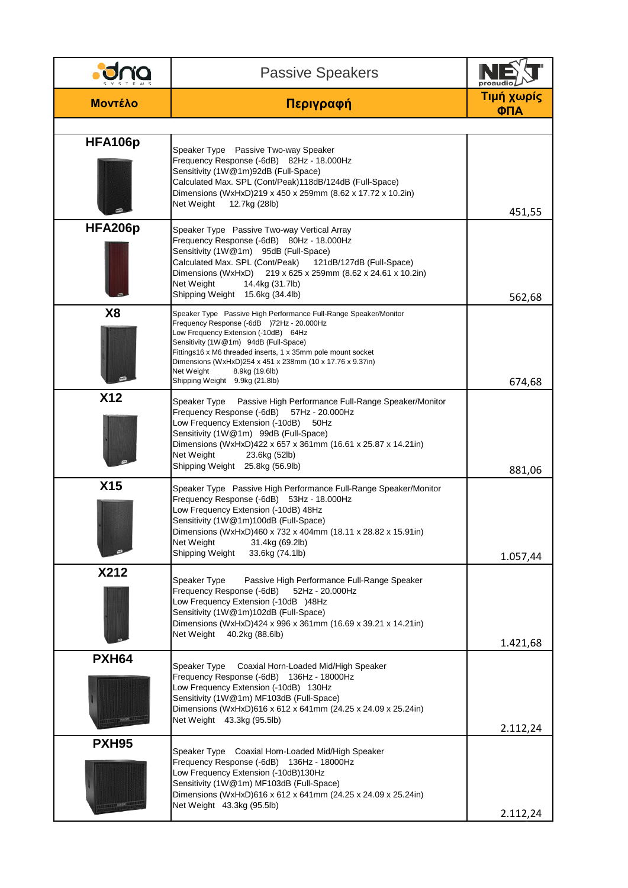|                | <b>Passive Speakers</b>                                                                                                                                                                                                                                                                                                                                                                       | proaudi           |
|----------------|-----------------------------------------------------------------------------------------------------------------------------------------------------------------------------------------------------------------------------------------------------------------------------------------------------------------------------------------------------------------------------------------------|-------------------|
| <b>Μοντέλο</b> | Περιγραφή                                                                                                                                                                                                                                                                                                                                                                                     | Τιμή χωρίς<br>ФПА |
| HFA106p        | Speaker Type Passive Two-way Speaker<br>Frequency Response (-6dB) 82Hz - 18.000Hz<br>Sensitivity (1W@1m)92dB (Full-Space)<br>Calculated Max. SPL (Cont/Peak)118dB/124dB (Full-Space)<br>Dimensions (WxHxD)219 x 450 x 259mm (8.62 x 17.72 x 10.2in)<br>Net Weight<br>12.7kg (28lb)                                                                                                            | 451,55            |
| HFA206p        | Speaker Type Passive Two-way Vertical Array<br>Frequency Response (-6dB) 80Hz - 18.000Hz<br>Sensitivity (1W@1m) 95dB (Full-Space)<br>Calculated Max. SPL (Cont/Peak)<br>121dB/127dB (Full-Space)<br>Dimensions (WxHxD) 219 x 625 x 259mm (8.62 x 24.61 x 10.2in)<br>Net Weight<br>14.4kg (31.7lb)<br>Shipping Weight 15.6kg (34.4lb)                                                          | 562,68            |
| <b>X8</b>      | Speaker Type Passive High Performance Full-Range Speaker/Monitor<br>Frequency Response (-6dB )72Hz - 20.000Hz<br>Low Frequency Extension (-10dB) 64Hz<br>Sensitivity (1W@1m) 94dB (Full-Space)<br>Fittings16 x M6 threaded inserts, 1 x 35mm pole mount socket<br>Dimensions (WxHxD)254 x 451 x 238mm (10 x 17.76 x 9.37in)<br>Net Weight<br>8.9kg (19.6lb)<br>Shipping Weight 9.9kg (21.8lb) | 674,68            |
| <b>X12</b>     | Speaker Type<br>Passive High Performance Full-Range Speaker/Monitor<br>Frequency Response (-6dB)<br>57Hz - 20.000Hz<br>Low Frequency Extension (-10dB)<br>50Hz<br>Sensitivity (1W@1m) 99dB (Full-Space)<br>Dimensions (WxHxD)422 x 657 x 361mm (16.61 x 25.87 x 14.21in)<br>Net Weight<br>23.6kg (52lb)<br>Shipping Weight 25.8kg (56.9lb)                                                    | 881,06            |
| X15            | Speaker Type Passive High Performance Full-Range Speaker/Monitor<br>Frequency Response (-6dB) 53Hz - 18.000Hz<br>Low Frequency Extension (-10dB) 48Hz<br>Sensitivity (1W@1m)100dB (Full-Space)<br>Dimensions (WxHxD)460 x 732 x 404mm (18.11 x 28.82 x 15.91in)<br>Net Weight<br>31.4kg (69.2lb)<br>Shipping Weight<br>33.6kg (74.1lb)                                                        | 1.057,44          |
| X212           | Speaker Type<br>Passive High Performance Full-Range Speaker<br>Frequency Response (-6dB)<br>52Hz - 20.000Hz<br>Low Frequency Extension (-10dB )48Hz<br>Sensitivity (1W@1m)102dB (Full-Space)<br>Dimensions (WxHxD)424 x 996 x 361mm (16.69 x 39.21 x 14.21in)<br>Net Weight<br>40.2kg (88.6lb)                                                                                                | 1.421,68          |
| <b>PXH64</b>   | Speaker Type<br>Coaxial Horn-Loaded Mid/High Speaker<br>Frequency Response (-6dB) 136Hz - 18000Hz<br>Low Frequency Extension (-10dB) 130Hz<br>Sensitivity (1W@1m) MF103dB (Full-Space)<br>Dimensions (WxHxD)616 x 612 x 641mm (24.25 x 24.09 x 25.24in)<br>Net Weight 43.3kg (95.5lb)                                                                                                         | 2.112,24          |
| <b>PXH95</b>   | Speaker Type Coaxial Horn-Loaded Mid/High Speaker<br>Frequency Response (-6dB) 136Hz - 18000Hz<br>Low Frequency Extension (-10dB)130Hz<br>Sensitivity (1W@1m) MF103dB (Full-Space)<br>Dimensions (WxHxD)616 x 612 x 641mm (24.25 x 24.09 x 25.24in)<br>Net Weight 43.3kg (95.5lb)                                                                                                             | 2.112,24          |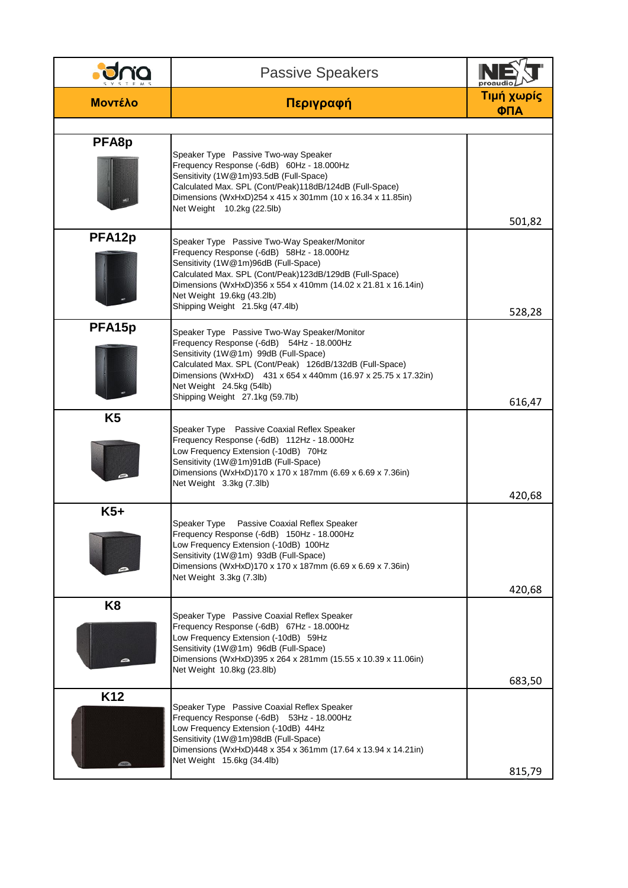|                    | <b>Passive Speakers</b>                                                                                                                                                                                                                                                                                                         | proaud            |
|--------------------|---------------------------------------------------------------------------------------------------------------------------------------------------------------------------------------------------------------------------------------------------------------------------------------------------------------------------------|-------------------|
| <b>Μοντέλο</b>     | Περιγραφή                                                                                                                                                                                                                                                                                                                       | Τιμή χωρίς<br>ФПА |
|                    |                                                                                                                                                                                                                                                                                                                                 |                   |
| PFA8p              | Speaker Type Passive Two-way Speaker<br>Frequency Response (-6dB) 60Hz - 18.000Hz<br>Sensitivity (1W@1m)93.5dB (Full-Space)<br>Calculated Max. SPL (Cont/Peak)118dB/124dB (Full-Space)<br>Dimensions (WxHxD)254 x 415 x 301mm (10 x 16.34 x 11.85in)<br>Net Weight 10.2kg (22.5lb)                                              | 501,82            |
| PFA12p             | Speaker Type Passive Two-Way Speaker/Monitor<br>Frequency Response (-6dB) 58Hz - 18.000Hz<br>Sensitivity (1W@1m)96dB (Full-Space)<br>Calculated Max. SPL (Cont/Peak)123dB/129dB (Full-Space)<br>Dimensions (WxHxD)356 x 554 x 410mm (14.02 x 21.81 x 16.14in)<br>Net Weight 19.6kg (43.2lb)<br>Shipping Weight 21.5kg (47.4lb)  | 528,28            |
| PFA <sub>15p</sub> | Speaker Type Passive Two-Way Speaker/Monitor<br>Frequency Response (-6dB) 54Hz - 18.000Hz<br>Sensitivity (1W@1m) 99dB (Full-Space)<br>Calculated Max. SPL (Cont/Peak) 126dB/132dB (Full-Space)<br>Dimensions (WxHxD) 431 x 654 x 440mm (16.97 x 25.75 x 17.32in)<br>Net Weight 24.5kg (54lb)<br>Shipping Weight 27.1kg (59.7lb) | 616,47            |
| K <sub>5</sub>     | Speaker Type Passive Coaxial Reflex Speaker<br>Frequency Response (-6dB) 112Hz - 18.000Hz<br>Low Frequency Extension (-10dB) 70Hz<br>Sensitivity (1W@1m)91dB (Full-Space)<br>Dimensions (WxHxD)170 x 170 x 187mm (6.69 x 6.69 x 7.36in)<br>Net Weight 3.3kg (7.3lb)                                                             | 420,68            |
| $K5+$              | Passive Coaxial Reflex Speaker<br>Speaker Type<br>Frequency Response (-6dB) 150Hz - 18.000Hz<br>Low Frequency Extension (-10dB) 100Hz<br>Sensitivity (1W@1m) 93dB (Full-Space)<br>Dimensions (WxHxD)170 x 170 x 187mm (6.69 x 6.69 x 7.36in)<br>Net Weight 3.3kg (7.3lb)                                                        | 420,68            |
| K <sub>8</sub>     | Speaker Type Passive Coaxial Reflex Speaker<br>Frequency Response (-6dB) 67Hz - 18.000Hz<br>Low Frequency Extension (-10dB) 59Hz<br>Sensitivity (1W@1m) 96dB (Full-Space)<br>Dimensions (WxHxD)395 x 264 x 281mm (15.55 x 10.39 x 11.06in)<br>Net Weight 10.8kg (23.8lb)                                                        | 683,50            |
| K <sub>12</sub>    | Speaker Type Passive Coaxial Reflex Speaker<br>Frequency Response (-6dB) 53Hz - 18.000Hz<br>Low Frequency Extension (-10dB) 44Hz<br>Sensitivity (1W@1m)98dB (Full-Space)<br>Dimensions (WxHxD)448 x 354 x 361mm (17.64 x 13.94 x 14.21in)<br>Net Weight 15.6kg (34.4lb)                                                         | 815,79            |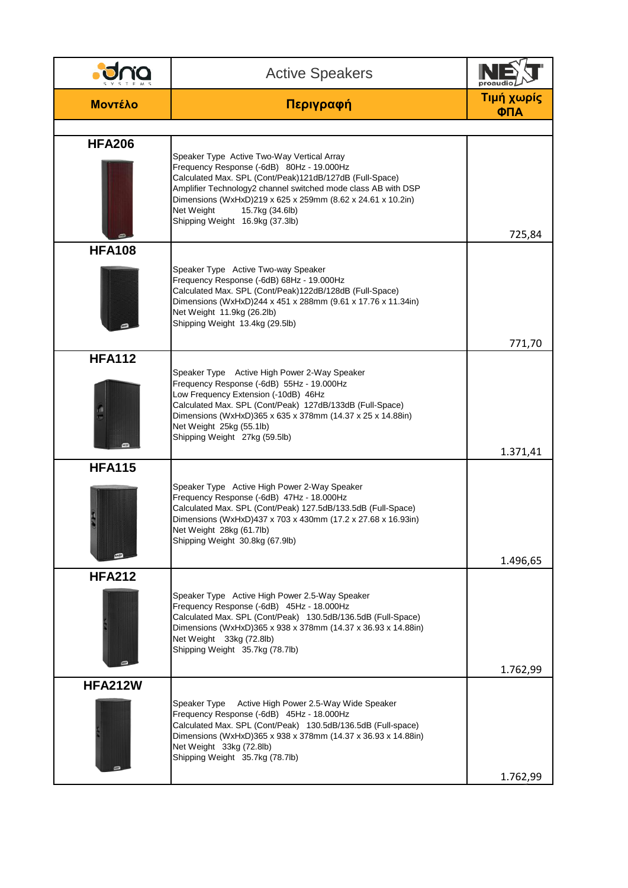|                | <b>Active Speakers</b>                                                                                                                                                                                                                                                                                                                                 | proaud            |
|----------------|--------------------------------------------------------------------------------------------------------------------------------------------------------------------------------------------------------------------------------------------------------------------------------------------------------------------------------------------------------|-------------------|
| <b>Μοντέλο</b> | Περιγραφή                                                                                                                                                                                                                                                                                                                                              | Τιμή χωρίς<br>ФПА |
|                |                                                                                                                                                                                                                                                                                                                                                        |                   |
| <b>HFA206</b>  | Speaker Type Active Two-Way Vertical Array<br>Frequency Response (-6dB) 80Hz - 19.000Hz<br>Calculated Max. SPL (Cont/Peak)121dB/127dB (Full-Space)<br>Amplifier Technology2 channel switched mode class AB with DSP<br>Dimensions (WxHxD)219 x 625 x 259mm (8.62 x 24.61 x 10.2in)<br>Net Weight<br>15.7kg (34.6lb)<br>Shipping Weight 16.9kg (37.3lb) | 725,84            |
| <b>HFA108</b>  |                                                                                                                                                                                                                                                                                                                                                        |                   |
|                | Speaker Type Active Two-way Speaker<br>Frequency Response (-6dB) 68Hz - 19.000Hz<br>Calculated Max. SPL (Cont/Peak)122dB/128dB (Full-Space)<br>Dimensions (WxHxD)244 x 451 x 288mm (9.61 x 17.76 x 11.34in)<br>Net Weight 11.9kg (26.2lb)<br>Shipping Weight 13.4kg (29.5lb)                                                                           |                   |
|                |                                                                                                                                                                                                                                                                                                                                                        | 771,70            |
| <b>HFA112</b>  | Speaker Type Active High Power 2-Way Speaker<br>Frequency Response (-6dB) 55Hz - 19.000Hz<br>Low Frequency Extension (-10dB) 46Hz<br>Calculated Max. SPL (Cont/Peak) 127dB/133dB (Full-Space)<br>Dimensions (WxHxD)365 x 635 x 378mm (14.37 x 25 x 14.88in)<br>Net Weight 25kg (55.1lb)<br>Shipping Weight 27kg (59.5lb)                               | 1.371,41          |
| <b>HFA115</b>  |                                                                                                                                                                                                                                                                                                                                                        |                   |
|                | Speaker Type Active High Power 2-Way Speaker<br>Frequency Response (-6dB) 47Hz - 18.000Hz<br>Calculated Max. SPL (Cont/Peak) 127.5dB/133.5dB (Full-Space)<br>Dimensions (WxHxD)437 x 703 x 430mm (17.2 x 27.68 x 16.93in)<br>Net Weight 28kg (61.7lb)<br>Shipping Weight 30.8kg (67.9lb)                                                               |                   |
|                |                                                                                                                                                                                                                                                                                                                                                        | 1.496,65          |
| <b>HFA212</b>  | Speaker Type Active High Power 2.5-Way Speaker<br>Frequency Response (-6dB) 45Hz - 18.000Hz<br>Calculated Max. SPL (Cont/Peak) 130.5dB/136.5dB (Full-Space)<br>Dimensions (WxHxD)365 x 938 x 378mm (14.37 x 36.93 x 14.88in)<br>Net Weight 33kg (72.8lb)<br>Shipping Weight 35.7kg (78.7lb)                                                            | 1.762,99          |
| <b>HFA212W</b> |                                                                                                                                                                                                                                                                                                                                                        |                   |
|                | Active High Power 2.5-Way Wide Speaker<br>Speaker Type<br>Frequency Response (-6dB) 45Hz - 18.000Hz<br>Calculated Max. SPL (Cont/Peak) 130.5dB/136.5dB (Full-space)<br>Dimensions (WxHxD)365 x 938 x 378mm (14.37 x 36.93 x 14.88in)<br>Net Weight 33kg (72.8lb)<br>Shipping Weight 35.7kg (78.7lb)                                                    | 1.762,99          |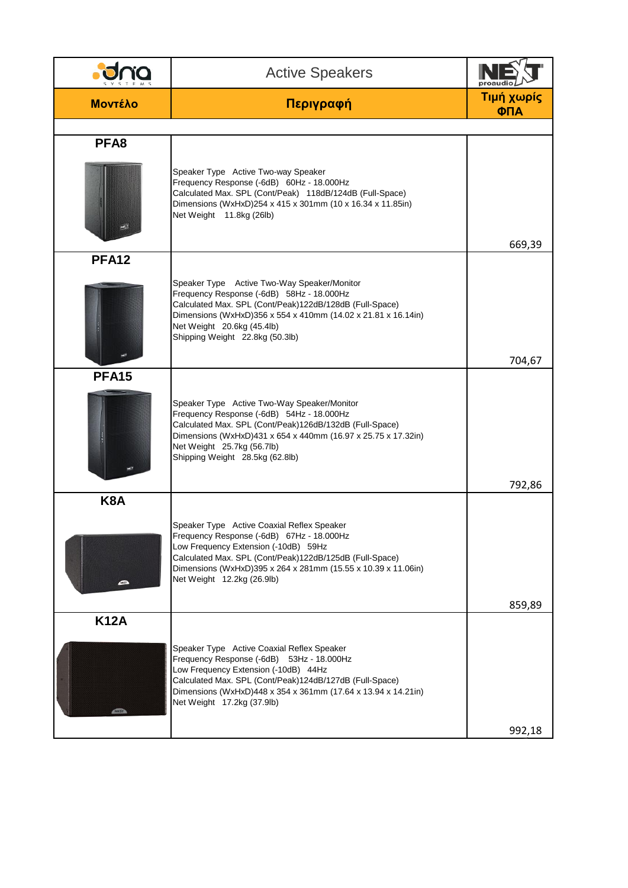|                | <b>Active Speakers</b>                                                                                                                                                                                                                                                                    | proaud            |
|----------------|-------------------------------------------------------------------------------------------------------------------------------------------------------------------------------------------------------------------------------------------------------------------------------------------|-------------------|
| <b>Μοντέλο</b> | Περιγραφή                                                                                                                                                                                                                                                                                 | Τιμή χωρίς<br>ФПА |
|                |                                                                                                                                                                                                                                                                                           |                   |
| PFA8           | Speaker Type Active Two-way Speaker<br>Frequency Response (-6dB) 60Hz - 18.000Hz<br>Calculated Max. SPL (Cont/Peak) 118dB/124dB (Full-Space)<br>Dimensions (WxHxD)254 x 415 x 301mm (10 x 16.34 x 11.85in)<br>Net Weight 11.8kg (26lb)                                                    | 669,39            |
| <b>PFA12</b>   |                                                                                                                                                                                                                                                                                           |                   |
|                | Speaker Type Active Two-Way Speaker/Monitor<br>Frequency Response (-6dB) 58Hz - 18.000Hz<br>Calculated Max. SPL (Cont/Peak)122dB/128dB (Full-Space)<br>Dimensions (WxHxD)356 x 554 x 410mm (14.02 x 21.81 x 16.14in)<br>Net Weight 20.6kg (45.4lb)<br>Shipping Weight 22.8kg (50.3lb)     |                   |
|                |                                                                                                                                                                                                                                                                                           | 704,67            |
| <b>PFA15</b>   | Speaker Type Active Two-Way Speaker/Monitor<br>Frequency Response (-6dB) 54Hz - 18.000Hz<br>Calculated Max. SPL (Cont/Peak)126dB/132dB (Full-Space)<br>Dimensions (WxHxD)431 x 654 x 440mm (16.97 x 25.75 x 17.32in)<br>Net Weight 25.7kg (56.7lb)<br>Shipping Weight 28.5kg (62.8lb)     | 792,86            |
| K8A            |                                                                                                                                                                                                                                                                                           |                   |
|                | Speaker Type Active Coaxial Reflex Speaker<br>Frequency Response (-6dB) 67Hz - 18.000Hz<br>Low Frequency Extension (-10dB) 59Hz<br>Calculated Max. SPL (Cont/Peak)122dB/125dB (Full-Space)<br>Dimensions (WxHxD)395 x 264 x 281mm (15.55 x 10.39 x 11.06in)<br>Net Weight 12.2kg (26.9lb) |                   |
| <b>K12A</b>    |                                                                                                                                                                                                                                                                                           | 859,89            |
|                | Speaker Type Active Coaxial Reflex Speaker<br>Frequency Response (-6dB) 53Hz - 18.000Hz<br>Low Frequency Extension (-10dB) 44Hz<br>Calculated Max. SPL (Cont/Peak)124dB/127dB (Full-Space)<br>Dimensions (WxHxD)448 x 354 x 361mm (17.64 x 13.94 x 14.21in)<br>Net Weight 17.2kg (37.9lb) | 992,18            |